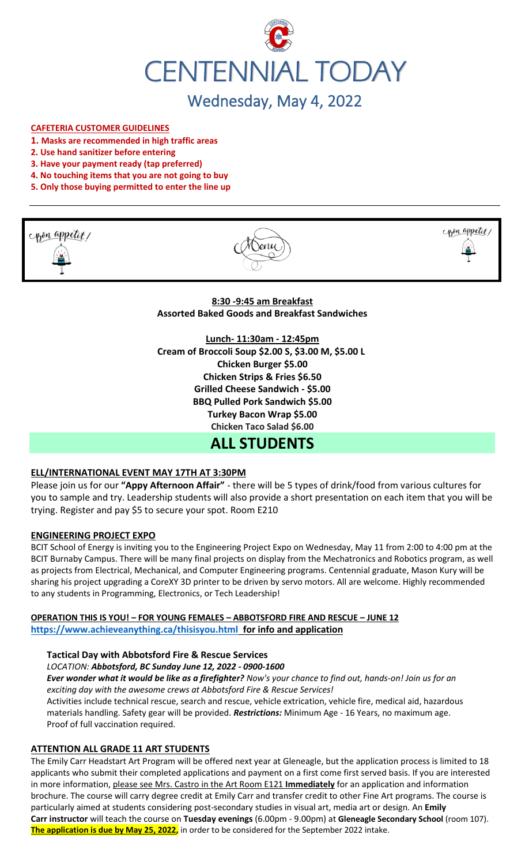

# Wednesday, May 4, 2022

## **CAFETERIA CUSTOMER GUIDELINES**

- **1. Masks are recommended in high traffic areas**
- **2. Use hand sanitizer before entering**
- **3. Have your payment ready (tap preferred)**
- **4. No touching items that you are not going to buy**
- **5. Only those buying permitted to enter the line up**





**8:30 -9:45 am Breakfast Assorted Baked Goods and Breakfast Sandwiches**

**Lunch- 11:30am - 12:45pm Cream of Broccoli Soup \$2.00 S, \$3.00 M, \$5.00 L Chicken Burger \$5.00 Chicken Strips & Fries \$6.50 Grilled Cheese Sandwich - \$5.00 BBQ Pulled Pork Sandwich \$5.00 Turkey Bacon Wrap \$5.00 Chicken Taco Salad \$6.00**

# **ALL STUDENTS**

## **ELL/INTERNATIONAL EVENT MAY 17TH AT 3:30PM**

Please join us for our **"Appy Afternoon Affair"** - there will be 5 types of drink/food from various cultures for you to sample and try. Leadership students will also provide a short presentation on each item that you will be trying. Register and pay \$5 to secure your spot. Room E210

#### **ENGINEERING PROJECT EXPO**

BCIT School of Energy is inviting you to the Engineering Project Expo on Wednesday, May 11 from 2:00 to 4:00 pm at the BCIT Burnaby Campus. There will be many final projects on display from the Mechatronics and Robotics program, as well as projects from Electrical, Mechanical, and Computer Engineering programs. Centennial graduate, Mason Kury will be sharing his project upgrading a CoreXY 3D printer to be driven by servo motors. All are welcome. Highly recommended to any students in Programming, Electronics, or Tech Leadership!

## **OPERATION THIS IS YOU! – FOR YOUNG FEMALES – ABBOTSFORD FIRE AND RESCUE – JUNE 12 <https://www.achieveanything.ca/thisisyou.html> for info and application**

#### **Tactical Day with Abbotsford Fire & Rescue Services**

*LOCATION: Abbotsford, BC Sunday June 12, 2022 - 0900-1600*

*Ever wonder what it would be like as a firefighter? Now's your chance to find out, hands-on! Join us for an exciting day with the awesome crews at Abbotsford Fire & Rescue Services!* 

Activities include technical rescue, search and rescue, vehicle extrication, vehicle fire, medical aid, hazardous materials handling. Safety gear will be provided. *Restrictions:* Minimum Age - 16 Years, no maximum age. Proof of full vaccination required.

## **ATTENTION ALL GRADE 11 ART STUDENTS**

The Emily Carr Headstart Art Program will be offered next year at Gleneagle, but the application process is limited to 18 applicants who submit their completed applications and payment on a first come first served basis. If you are interested in more information, please see Mrs. Castro in the Art Room E121 **Immediately** for an application and information brochure. The course will carry degree credit at Emily Carr and transfer credit to other Fine Art programs. The course is particularly aimed at students considering post-secondary studies in visual art, media art or design. An **Emily Carr instructor** will teach the course on **Tuesday evenings** (6.00pm - 9.00pm) at **Gleneagle Secondary School** (room 107). **The application is due by May 25, 2022,** in order to be considered for the September 2022 intake.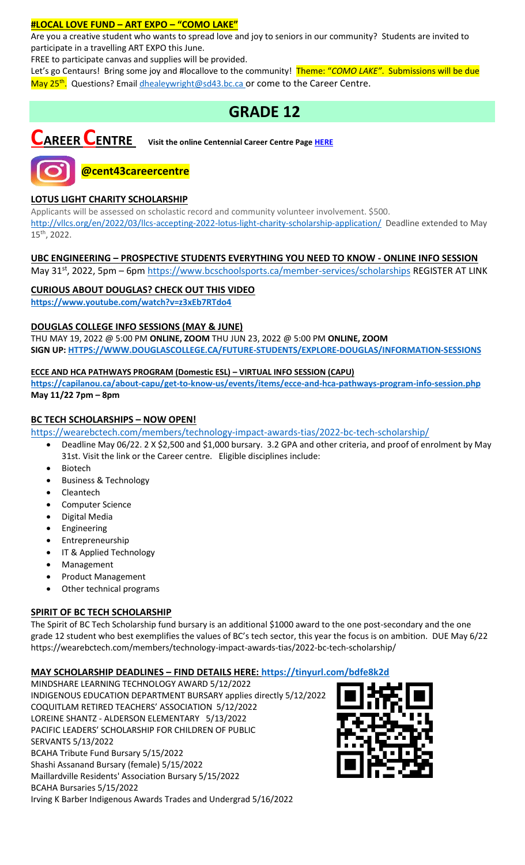## **#LOCAL LOVE FUND – ART EXPO – "COMO LAKE"**

Are you a creative student who wants to spread love and joy to seniors in our community? Students are invited to participate in a travelling ART EXPO this June.

FREE to participate canvas and supplies will be provided.

Let's go Centaurs! Bring some joy and #locallove to the community! Theme: "*COMO LAKE"*. Submissions will be due May 25<sup>th</sup>. Questions? Emai[l dhealeywright@sd43.bc.ca](mailto:dhealeywright@sd43.bc.ca) or come to the Career Centre.

# **GRADE 12**

**CAREER CENTRE Visit the online Centennial Career Centre Page [HERE](https://www.sd43.bc.ca/school/centennial/ProgramsServices/CareerCentre/experiences/Pages/default.aspx#/=)**



**@cent43careercentre** 

# **LOTUS LIGHT CHARITY SCHOLARSHIP**

Applicants will be assessed on scholastic record and community volunteer involvement. \$500. <http://vllcs.org/en/2022/03/llcs-accepting-2022-lotus-light-charity-scholarship-application/> Deadline extended to May 15th, 2022.

# **UBC ENGINEERING – PROSPECTIVE STUDENTS EVERYTHING YOU NEED TO KNOW - ONLINE INFO SESSION**

May 31st, 2022, 5pm – 6pm<https://www.bcschoolsports.ca/member-services/scholarships> REGISTER AT LINK

# **CURIOUS ABOUT DOUGLAS? CHECK OUT THIS VIDEO**

**<https://www.youtube.com/watch?v=z3xEb7RTdo4>**

# **DOUGLAS COLLEGE INFO SESSIONS (MAY & JUNE)**

THU MAY 19, 2022 @ 5:00 PM **ONLINE, ZOOM** THU JUN 23, 2022 @ 5:00 PM **ONLINE, ZOOM SIGN UP[: HTTPS://WWW.DOUGLASCOLLEGE.CA/FUTURE-STUDENTS/EXPLORE-DOUGLAS/INFORMATION-SESSIONS](https://www.douglascollege.ca/future-students/explore-douglas/information-sessions)**

## **ECCE AND HCA PATHWAYS PROGRAM (Domestic ESL) – VIRTUAL INFO SESSION (CAPU)**

**<https://capilanou.ca/about-capu/get-to-know-us/events/items/ecce-and-hca-pathways-program-info-session.php> May 11/22 7pm – 8pm**

# **BC TECH SCHOLARSHIPS – NOW OPEN!**

[https://wearebctech.com/members/technology-impact-awards-tias/2022-bc-tech-scholarship/](file://///d00-v02-p01/Shared_Data/076/Staff_Shared/Office/centennial%20today/Centennial%20Today%202021-2022/April%202022/​https:/wearebctech.com/members/technology-impact-awards-tias/2022-bc-tech-scholarship/)

- Deadline May 06/22. 2 X \$2,500 and \$1,000 bursary. 3.2 GPA and other criteria, and proof of enrolment by May 31st. Visit the link or the Career centre. Eligible disciplines include:
- **Biotech**
- Business & Technology
- **Cleantech**
- Computer Science
- Digital Media
- **Engineering**
- **Entrepreneurship**
- IT & Applied Technology
- Management
- Product Management
- Other technical programs

## **SPIRIT OF BC TECH SCHOLARSHIP**

The Spirit of BC Tech Scholarship fund bursary is an additional \$1000 award to the one post-secondary and the one grade 12 student who best exemplifies the values of BC's tech sector, this year the focus is on ambition. DUE May 6/2[2](https://wearebctech.com/members/technology-impact-awards-tias/2022-bc-tech-scholarship/) <https://wearebctech.com/members/technology-impact-awards-tias/2022-bc-tech-scholarship/>

## **MAY SCHOLARSHIP DEADLINES – FIND DETAILS HERE:<https://tinyurl.com/bdfe8k2d>**

MINDSHARE LEARNING TECHNOLOGY AWARD 5/12/2022 INDIGENOUS EDUCATION DEPARTMENT BURSARY applies directly 5/12/2022 COQUITLAM RETIRED TEACHERS' ASSOCIATION 5/12/2022 LOREINE SHANTZ - ALDERSON ELEMENTARY 5/13/2022 PACIFIC LEADERS' SCHOLARSHIP FOR CHILDREN OF PUBLIC SERVANTS 5/13/2022 BCAHA Tribute Fund Bursary 5/15/2022 Shashi Assanand Bursary (female) 5/15/2022 Maillardville Residents' Association Bursary 5/15/2022 BCAHA Bursaries 5/15/2022 Irving K Barber Indigenous Awards Trades and Undergrad 5/16/2022

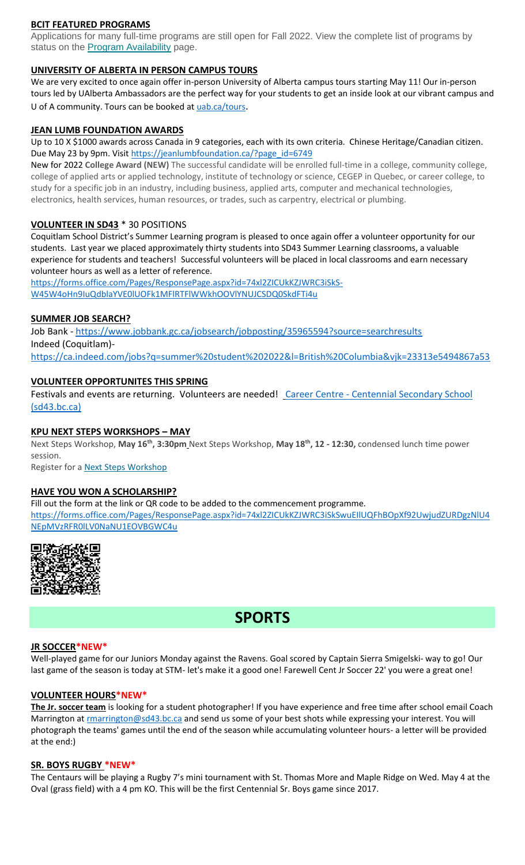# **BCIT FEATURED PROGRAMS**

Applications for many full-time programs are still open for Fall 2022. View the complete list of programs by status on the **[Program Availability](https://bcit.us8.list-manage.com/track/click?u=daf05330755626307efc8f07f&id=4d4ed36616&e=b29846f095)** page.

#### **UNIVERSITY OF ALBERTA IN PERSON CAMPUS TOURS**

We are very excited to once again offer in-person University of Alberta campus tours starting May 11! Our in-person tours led by UAlberta Ambassadors are the perfect way for your students to get an inside look at our vibrant campus and U of A community. Tours can be booked at [uab.ca/tours](https://mx.technolutions.net/ss/c/gsby7xed_Q9kJKoUKuDGdBFBFhSssENYnEfiUuIzPCfFN0X3A85kPAIgyq7RiYgwd5ks3dapUcNxO2ND8vSVBYrkONj16vS1goC-KNmxqyzPGiP84ZPhBolxXehOVvJJoIydTyO79MzKzKWEvLKFkm_yV9EI63wdit-4TgQQwdxB7q-F7wKO6B1l7qPTTQqEY4-sfMYxk0jPxb8_vnjcU8J1KalNzAYWqvZsue4RhUs/3li/fiXawEMdS5CpVDRHZJ_kGA/h1/NOtRtynrGGfbhYYaY88O-aXOwt_ymLOenqdLtTeBrnQ).

#### **JEAN LUMB FOUNDATION AWARDS**

Up to 10 X \$1000 awards across Canada in 9 categories, each with its own criteria. Chinese Heritage/Canadian citizen. Due May 23 by 9pm. Visi[t https://jeanlumbfoundation.ca/?page\\_id=6749](https://jeanlumbfoundation.ca/?page_id=6749)

New for 2022 **College Award (NEW)** The successful candidate will be enrolled full-time in a college, community college, college of applied arts or applied technology, institute of technology or science, CEGEP in Quebec, or career college, to study for a specific job in an industry, including business, applied arts, computer and mechanical technologies, electronics, health services, human resources, or trades, such as carpentry, electrical or plumbing.

#### **VOLUNTEER IN SD43** \* 30 POSITIONS

Coquitlam School District's Summer Learning program is pleased to once again offer a volunteer opportunity for our students. Last year we placed approximately thirty students into SD43 Summer Learning classrooms, a valuable experience for students and teachers! Successful volunteers will be placed in local classrooms and earn necessary volunteer hours as well as a letter of reference.

[https://forms.office.com/Pages/ResponsePage.aspx?id=74xl2ZICUkKZJWRC3iSkS-](https://forms.office.com/Pages/ResponsePage.aspx?id=74xl2ZICUkKZJWRC3iSkS-W45W4oHn9IuQdblaYVE0lUOFk1MFlRTFlWWkhOOVlYNUJCSDQ0SkdFTi4u)[W45W4oHn9IuQdblaYVE0lUOFk1MFlRTFlWWkhOOVlYNUJCSDQ0SkdFTi4u](https://forms.office.com/Pages/ResponsePage.aspx?id=74xl2ZICUkKZJWRC3iSkS-W45W4oHn9IuQdblaYVE0lUOFk1MFlRTFlWWkhOOVlYNUJCSDQ0SkdFTi4u)

#### **SUMMER JOB SEARCH?**

Job Bank - <https://www.jobbank.gc.ca/jobsearch/jobposting/35965594?source=searchresults> Indeed (Coquitlam) <https://ca.indeed.com/jobs?q=summer%20student%202022&l=British%20Columbia&vjk=23313e5494867a53>

## **VOLUNTEER OPPORTUNITES THIS SPRING**

Festivals and events are returning. Volunteers are needed! Career Centre - [Centennial Secondary School](https://www.sd43.bc.ca/school/centennial/ProgramsServices/CareerCentre/experiences/Pages/default.aspx#/=)  [\(sd43.bc.ca\)](https://www.sd43.bc.ca/school/centennial/ProgramsServices/CareerCentre/experiences/Pages/default.aspx#/=)

#### **KPU NEXT STEPS WORKSHOPS – MAY**

Next Steps Workshop, **May 16th, 3:30pm** Next Steps Workshop, **May 18th, 12 - 12:30,** condensed lunch time power session.

Register for a [Next Steps Workshop](http://crm-link.kpu.ca/c/7/eyJhaSI6MTY0ODQwMjEsImUiOiJkaGVhbGV5d3JpZ2h0QHNkNDMuYmMuY2EiLCJyaSI6ImNvbnRhY3QtNGZkMzgzYmJkZmY3ZWExMWE4MTUwMDBkM2EwYzhjNmQtZDI5MWU3MGZkMWYyNDJlYjk5OGU2OTFmYjc2ZGZmMjMiLCJycSI6IjAyLWIyMjEwMy0zOTg5OTViYTI1NGQ0NDE2YjBlMDQyODJkZjY3MTlhNiIsInBoIjpudWxsLCJtIjpmYWxzZSwidWkiOiIyIiwidW4iOiIiLCJ1IjoiaHR0cHM6Ly93d3cua3B1LmNhL2luZm8tc2Vzc2lvbnMvZnV0dXJlLXN0dWRlbnRzL25leHQtc3RlcHMvbWF5LTIwMjI_X2NsZGVlPVpNTFlTR1BPYXdvdUI0T0xzQnBsUHZFU0g1eUhvbnhCQlpuNFlnYzRINkV6V0ZWOVpLUWpKTmxic0hFM3RVQmImcmVjaXBpZW50aWQ9Y29udGFjdC00ZmQzODNiYmRmZjdlYTExYTgxNTAwMGQzYTBjOGM2ZC1kMjkxZTcwZmQxZjI0MmViOTk4ZTY5MWZiNzZkZmYyMyZlc2lkPTFkZmIzOThiLTRiYmItZWMxMS05ODNmLTAwMjI0ODNjYzE1YSJ9/SBu6RJHIXI6GRb2GoyGQMA)

#### **HAVE YOU WON A SCHOLARSHIP?**

Fill out the form at the link or QR code to be added to the commencement programme. [https://forms.office.com/Pages/ResponsePage.aspx?id=74xl2ZICUkKZJWRC3iSkSwuEIlUQFhBOpXf92UwjudZURDgzNlU4](https://forms.office.com/Pages/ResponsePage.aspx?id=74xl2ZICUkKZJWRC3iSkSwuEIlUQFhBOpXf92UwjudZURDgzNlU4NEpMVzRFR0lLV0NaNU1EOVBGWC4u) [NEpMVzRFR0lLV0NaNU1EOVBGWC4u](https://forms.office.com/Pages/ResponsePage.aspx?id=74xl2ZICUkKZJWRC3iSkSwuEIlUQFhBOpXf92UwjudZURDgzNlU4NEpMVzRFR0lLV0NaNU1EOVBGWC4u)



# **SPORTS**

#### **JR SOCCER\*NEW\***

Well-played game for our Juniors Monday against the Ravens. Goal scored by Captain Sierra Smigelski- way to go! Our last game of the season is today at STM- let's make it a good one! Farewell Cent Jr Soccer 22' you were a great one!

#### **VOLUNTEER HOURS\*NEW\***

**The Jr. soccer team** is looking for a student photographer! If you have experience and free time after school email Coach Marrington at **rmarrington@sd43.bc.ca** and send us some of your best shots while expressing your interest. You will photograph the teams' games until the end of the season while accumulating volunteer hours- a letter will be provided at the end:)

# **SR. BOYS RUGBY \*NEW\***

The Centaurs will be playing a Rugby 7's mini tournament with St. Thomas More and Maple Ridge on Wed. May 4 at the Oval (grass field) with a 4 pm KO. This will be the first Centennial Sr. Boys game since 2017.